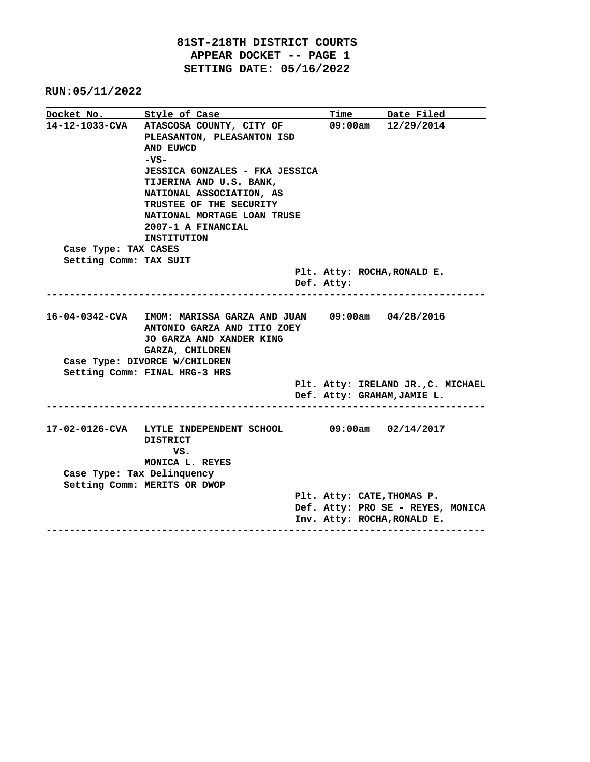**81ST-218TH DISTRICT COURTS APPEAR DOCKET -- PAGE 1 SETTING DATE: 05/16/2022**

| Docket No. Style of Case   |                                                                              |  | <b>Time</b> | Date Filed                         |  |
|----------------------------|------------------------------------------------------------------------------|--|-------------|------------------------------------|--|
| 14-12-1033-CVA             | ATASCOSA COUNTY, CITY OF<br>PLEASANTON, PLEASANTON ISD                       |  | 09:00am     | 12/29/2014                         |  |
|                            | AND EUWCD                                                                    |  |             |                                    |  |
|                            | $-vs-$                                                                       |  |             |                                    |  |
|                            | <b>JESSICA GONZALES - FKA JESSICA</b>                                        |  |             |                                    |  |
|                            | TIJERINA AND U.S. BANK,                                                      |  |             |                                    |  |
|                            | NATIONAL ASSOCIATION, AS                                                     |  |             |                                    |  |
|                            | TRUSTEE OF THE SECURITY                                                      |  |             |                                    |  |
|                            | NATIONAL MORTAGE LOAN TRUSE                                                  |  |             |                                    |  |
|                            | 2007-1 A FINANCIAL                                                           |  |             |                                    |  |
|                            | <b>INSTITUTION</b>                                                           |  |             |                                    |  |
| Case Type: TAX CASES       |                                                                              |  |             |                                    |  |
| Setting Comm: TAX SUIT     |                                                                              |  |             |                                    |  |
|                            |                                                                              |  |             | Plt. Atty: ROCHA, RONALD E.        |  |
|                            |                                                                              |  | Def. Atty:  |                                    |  |
|                            |                                                                              |  |             |                                    |  |
|                            | 16-04-0342-CVA IMOM: MARISSA GARZA AND JUAN 09:00am 04/28/2016               |  |             |                                    |  |
|                            | ANTONIO GARZA AND ITIO ZOEY                                                  |  |             |                                    |  |
|                            | JO GARZA AND XANDER KING                                                     |  |             |                                    |  |
|                            | GARZA, CHILDREN                                                              |  |             |                                    |  |
|                            | Case Type: DIVORCE W/CHILDREN                                                |  |             |                                    |  |
|                            | Setting Comm: FINAL HRG-3 HRS                                                |  |             |                                    |  |
|                            |                                                                              |  |             | Plt. Atty: IRELAND JR., C. MICHAEL |  |
|                            |                                                                              |  |             | Def. Atty: GRAHAM, JAMIE L.        |  |
|                            |                                                                              |  |             |                                    |  |
|                            |                                                                              |  |             |                                    |  |
|                            | 17-02-0126-CVA LYTLE INDEPENDENT SCHOOL               09:00am     02/14/2017 |  |             |                                    |  |
|                            | <b>DISTRICT</b>                                                              |  |             |                                    |  |
|                            | VS.                                                                          |  |             |                                    |  |
|                            | MONICA L. REYES                                                              |  |             |                                    |  |
| Case Type: Tax Delinquency |                                                                              |  |             |                                    |  |
|                            | Setting Comm: MERITS OR DWOP                                                 |  |             |                                    |  |
|                            |                                                                              |  |             | Plt. Atty: CATE, THOMAS P.         |  |
|                            |                                                                              |  |             | Def. Atty: PRO SE - REYES, MONICA  |  |
|                            |                                                                              |  |             | Inv. Atty: ROCHA, RONALD E.        |  |
|                            |                                                                              |  |             |                                    |  |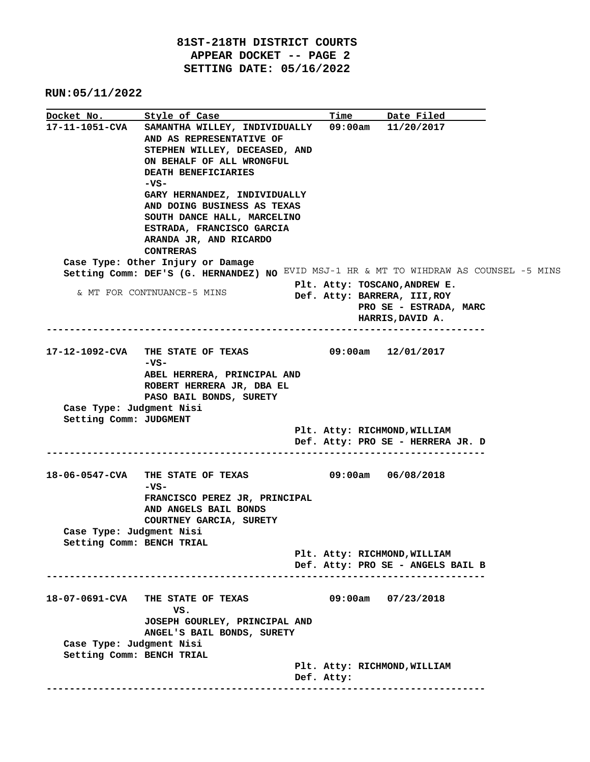|                           |                                                                                        |            | Time Date Filed                   |  |
|---------------------------|----------------------------------------------------------------------------------------|------------|-----------------------------------|--|
|                           | 17-11-1051-CVA SAMANTHA WILLEY, INDIVIDUALLY 09:00am 11/20/2017                        |            |                                   |  |
|                           | AND AS REPRESENTATIVE OF                                                               |            |                                   |  |
|                           | STEPHEN WILLEY, DECEASED, AND                                                          |            |                                   |  |
|                           | ON BEHALF OF ALL WRONGFUL                                                              |            |                                   |  |
|                           | DEATH BENEFICIARIES                                                                    |            |                                   |  |
|                           | $-vs-$                                                                                 |            |                                   |  |
|                           | GARY HERNANDEZ, INDIVIDUALLY                                                           |            |                                   |  |
|                           | AND DOING BUSINESS AS TEXAS                                                            |            |                                   |  |
|                           | SOUTH DANCE HALL, MARCELINO                                                            |            |                                   |  |
|                           | ESTRADA, FRANCISCO GARCIA                                                              |            |                                   |  |
|                           | ARANDA JR, AND RICARDO                                                                 |            |                                   |  |
|                           | <b>CONTRERAS</b>                                                                       |            |                                   |  |
|                           | Case Type: Other Injury or Damage                                                      |            |                                   |  |
|                           | Setting Comm: DEF'S (G. HERNANDEZ) NO EVID MSJ-1 HR & MT TO WIHDRAW AS COUNSEL -5 MINS |            |                                   |  |
|                           |                                                                                        |            | Plt. Atty: TOSCANO, ANDREW E.     |  |
|                           | & MT FOR CONTNUANCE-5 MINS                                                             |            | Def. Atty: BARRERA, III, ROY      |  |
|                           |                                                                                        |            | PRO SE - ESTRADA, MARC            |  |
|                           |                                                                                        |            | HARRIS, DAVID A.                  |  |
|                           |                                                                                        |            |                                   |  |
|                           |                                                                                        |            |                                   |  |
|                           | 17-12-1092-CVA THE STATE OF TEXAS                                                      |            | $09:00$ am $12/01/2017$           |  |
|                           | -vs-                                                                                   |            |                                   |  |
|                           | ABEL HERRERA, PRINCIPAL AND                                                            |            |                                   |  |
|                           | ROBERT HERRERA JR, DBA EL                                                              |            |                                   |  |
|                           | PASO BAIL BONDS, SURETY                                                                |            |                                   |  |
| Case Type: Judgment Nisi  |                                                                                        |            |                                   |  |
| Setting Comm: JUDGMENT    |                                                                                        |            |                                   |  |
|                           |                                                                                        |            | Plt. Atty: RICHMOND, WILLIAM      |  |
|                           |                                                                                        |            | Def. Atty: PRO SE - HERRERA JR. D |  |
|                           |                                                                                        |            |                                   |  |
|                           |                                                                                        |            |                                   |  |
|                           |                                                                                        |            |                                   |  |
|                           | -vs-                                                                                   |            |                                   |  |
|                           | FRANCISCO PEREZ JR, PRINCIPAL                                                          |            |                                   |  |
|                           | AND ANGELS BAIL BONDS                                                                  |            |                                   |  |
|                           | COURTNEY GARCIA, SURETY                                                                |            |                                   |  |
| Case Type: Judgment Nisi  |                                                                                        |            |                                   |  |
| Setting Comm: BENCH TRIAL |                                                                                        |            |                                   |  |
|                           |                                                                                        |            | Plt. Atty: RICHMOND, WILLIAM      |  |
|                           |                                                                                        |            | Def. Atty: PRO SE - ANGELS BAIL B |  |
|                           | -------------------------------------                                                  |            |                                   |  |
|                           |                                                                                        |            |                                   |  |
|                           | 18-07-0691-CVA THE STATE OF TEXAS                                                      |            | $09:00am$ $07/23/2018$            |  |
|                           | VS.                                                                                    |            |                                   |  |
|                           | JOSEPH GOURLEY, PRINCIPAL AND                                                          |            |                                   |  |
|                           | ANGEL'S BAIL BONDS, SURETY                                                             |            |                                   |  |
| Case Type: Judgment Nisi  |                                                                                        |            |                                   |  |
| Setting Comm: BENCH TRIAL |                                                                                        |            |                                   |  |
|                           |                                                                                        |            | Plt. Atty: RICHMOND, WILLIAM      |  |
|                           |                                                                                        | Def. Atty: |                                   |  |
|                           |                                                                                        |            |                                   |  |
|                           |                                                                                        |            |                                   |  |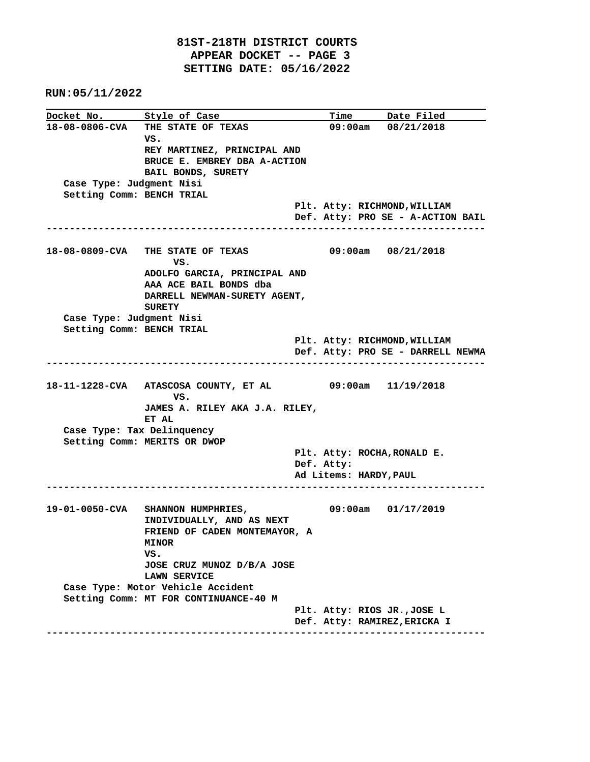**Docket No.** Style of Case Time Date Filed **18-08-0806-CVA THE STATE OF TEXAS 09:00am 08/21/2018 VS. REY MARTINEZ, PRINCIPAL AND BRUCE E. EMBREY DBA A-ACTION BAIL BONDS, SURETY Case Type: Judgment Nisi Setting Comm: BENCH TRIAL Plt. Atty: RICHMOND,WILLIAM Def. Atty: PRO SE - A-ACTION BAIL ---------------------------------------------------------------------------- 18-08-0809-CVA THE STATE OF TEXAS 09:00am 08/21/2018** *VS.* **VS. ADOLFO GARCIA, PRINCIPAL AND AAA ACE BAIL BONDS dba DARRELL NEWMAN-SURETY AGENT, SURETY Case Type: Judgment Nisi Setting Comm: BENCH TRIAL Plt. Atty: RICHMOND,WILLIAM Def. Atty: PRO SE - DARRELL NEWMA ---------------------------------------------------------------------------- 18-11-1228-CVA ATASCOSA COUNTY, ET AL 09:00am 11/19/2018 VS. JAMES A. RILEY AKA J.A. RILEY, ET AL Case Type: Tax Delinquency Setting Comm: MERITS OR DWOP Plt. Atty: ROCHA,RONALD E. Def. Atty: Ad Litems: HARDY,PAUL ---------------------------------------------------------------------------- 19-01-0050-CVA SHANNON HUMPHRIES, 09:00am 01/17/2019 INDIVIDUALLY, AND AS NEXT FRIEND OF CADEN MONTEMAYOR, A MINOR VS. JOSE CRUZ MUNOZ D/B/A JOSE LAWN SERVICE Case Type: Motor Vehicle Accident Setting Comm: MT FOR CONTINUANCE-40 M Plt. Atty: RIOS JR.,JOSE L Def. Atty: RAMIREZ,ERICKA I ----------------------------------------------------------------------------**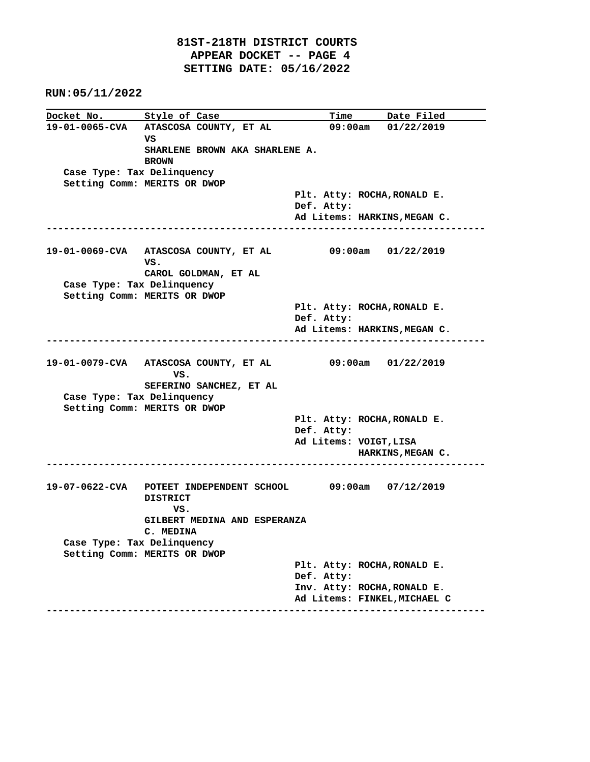| 19-01-0065-CVA ATASCOSA COUNTY, ET AL<br>$09:00am$ $01/22/2019$<br>vs<br>SHARLENE BROWN AKA SHARLENE A.<br><b>BROWN</b><br>Case Type: Tax Delinquency<br>Setting Comm: MERITS OR DWOP<br>Plt. Atty: ROCHA, RONALD E.<br>Def. Atty:<br>Ad Litems: HARKINS, MEGAN C.<br>19-01-0069-CVA ATASCOSA COUNTY, ET AL 09:00am 01/22/2019<br>VS.<br>CAROL GOLDMAN, ET AL<br>Case Type: Tax Delinquency<br>Setting Comm: MERITS OR DWOP<br>Plt. Atty: ROCHA, RONALD E.<br>Def. Atty:<br>Ad Litems: HARKINS, MEGAN C. |
|----------------------------------------------------------------------------------------------------------------------------------------------------------------------------------------------------------------------------------------------------------------------------------------------------------------------------------------------------------------------------------------------------------------------------------------------------------------------------------------------------------|
|                                                                                                                                                                                                                                                                                                                                                                                                                                                                                                          |
|                                                                                                                                                                                                                                                                                                                                                                                                                                                                                                          |
|                                                                                                                                                                                                                                                                                                                                                                                                                                                                                                          |
|                                                                                                                                                                                                                                                                                                                                                                                                                                                                                                          |
|                                                                                                                                                                                                                                                                                                                                                                                                                                                                                                          |
|                                                                                                                                                                                                                                                                                                                                                                                                                                                                                                          |
|                                                                                                                                                                                                                                                                                                                                                                                                                                                                                                          |
|                                                                                                                                                                                                                                                                                                                                                                                                                                                                                                          |
|                                                                                                                                                                                                                                                                                                                                                                                                                                                                                                          |
|                                                                                                                                                                                                                                                                                                                                                                                                                                                                                                          |
|                                                                                                                                                                                                                                                                                                                                                                                                                                                                                                          |
|                                                                                                                                                                                                                                                                                                                                                                                                                                                                                                          |
|                                                                                                                                                                                                                                                                                                                                                                                                                                                                                                          |
|                                                                                                                                                                                                                                                                                                                                                                                                                                                                                                          |
|                                                                                                                                                                                                                                                                                                                                                                                                                                                                                                          |
|                                                                                                                                                                                                                                                                                                                                                                                                                                                                                                          |
|                                                                                                                                                                                                                                                                                                                                                                                                                                                                                                          |
| 19-01-0079-CVA ATASCOSA COUNTY, ET AL 09:00am 01/22/2019<br>VS.                                                                                                                                                                                                                                                                                                                                                                                                                                          |
| SEFERINO SANCHEZ, ET AL                                                                                                                                                                                                                                                                                                                                                                                                                                                                                  |
| Case Type: Tax Delinquency                                                                                                                                                                                                                                                                                                                                                                                                                                                                               |
| Setting Comm: MERITS OR DWOP                                                                                                                                                                                                                                                                                                                                                                                                                                                                             |
| Plt. Atty: ROCHA, RONALD E.<br>Def. Atty:                                                                                                                                                                                                                                                                                                                                                                                                                                                                |
| Ad Litems: VOIGT, LISA                                                                                                                                                                                                                                                                                                                                                                                                                                                                                   |
| HARKINS, MEGAN C.                                                                                                                                                                                                                                                                                                                                                                                                                                                                                        |
|                                                                                                                                                                                                                                                                                                                                                                                                                                                                                                          |
| 19-07-0622-CVA POTEET INDEPENDENT SCHOOL 09:00am 07/12/2019<br><b>DISTRICT</b><br>VS.                                                                                                                                                                                                                                                                                                                                                                                                                    |
| GILBERT MEDINA AND ESPERANZA                                                                                                                                                                                                                                                                                                                                                                                                                                                                             |
| C. MEDINA                                                                                                                                                                                                                                                                                                                                                                                                                                                                                                |
| Case Type: Tax Delinquency                                                                                                                                                                                                                                                                                                                                                                                                                                                                               |
| Setting Comm: MERITS OR DWOP                                                                                                                                                                                                                                                                                                                                                                                                                                                                             |
| Plt. Atty: ROCHA, RONALD E.                                                                                                                                                                                                                                                                                                                                                                                                                                                                              |
| Def. Atty:                                                                                                                                                                                                                                                                                                                                                                                                                                                                                               |
| Inv. Atty: ROCHA, RONALD E.                                                                                                                                                                                                                                                                                                                                                                                                                                                                              |
| Ad Litems: FINKEL, MICHAEL C                                                                                                                                                                                                                                                                                                                                                                                                                                                                             |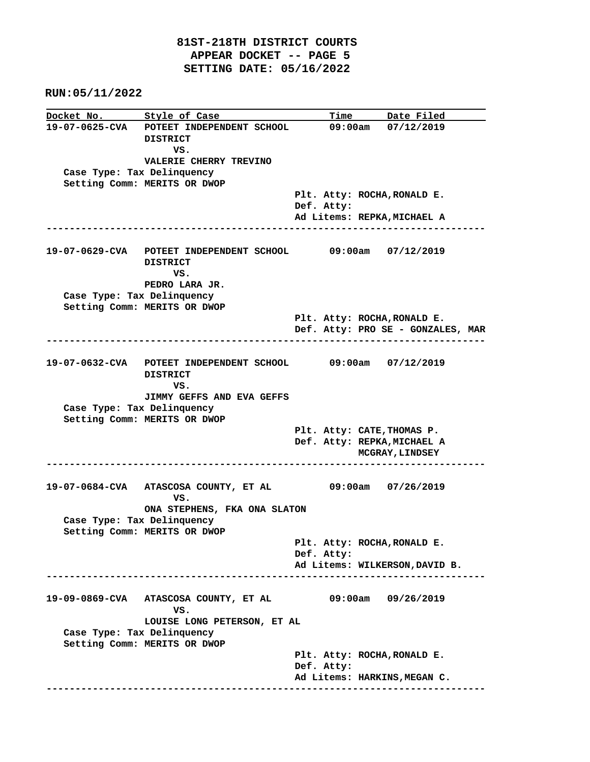**Docket No.** Style of Case Time Date Filed **19-07-0625-CVA POTEET INDEPENDENT SCHOOL 09:00am 07/12/2019 DISTRICT VS. VALERIE CHERRY TREVINO Case Type: Tax Delinquency Setting Comm: MERITS OR DWOP Plt. Atty: ROCHA,RONALD E. Def. Atty: Ad Litems: REPKA,MICHAEL A ---------------------------------------------------------------------------- 19-07-0629-CVA POTEET INDEPENDENT SCHOOL 09:00am 07/12/2019 DISTRICT VS. PEDRO LARA JR. Case Type: Tax Delinquency Setting Comm: MERITS OR DWOP Plt. Atty: ROCHA,RONALD E. Def. Atty: PRO SE - GONZALES, MAR ---------------------------------------------------------------------------- 19-07-0632-CVA POTEET INDEPENDENT SCHOOL 09:00am 07/12/2019 DISTRICT** *VS.* **VS. JIMMY GEFFS AND EVA GEFFS Case Type: Tax Delinquency Setting Comm: MERITS OR DWOP Plt. Atty: CATE,THOMAS P. Def. Atty: REPKA,MICHAEL A MCGRAY,LINDSEY ---------------------------------------------------------------------------- 19-07-0684-CVA ATASCOSA COUNTY, ET AL 09:00am 07/26/2019 VS. ONA STEPHENS, FKA ONA SLATON Case Type: Tax Delinquency Setting Comm: MERITS OR DWOP Plt. Atty: ROCHA,RONALD E. Def. Atty: Ad Litems: WILKERSON,DAVID B. ---------------------------------------------------------------------------- 19-09-0869-CVA ATASCOSA COUNTY, ET AL 09:00am 09/26/2019** *VS.*  **LOUISE LONG PETERSON, ET AL Case Type: Tax Delinquency Setting Comm: MERITS OR DWOP Plt. Atty: ROCHA,RONALD E. Def. Atty: Ad Litems: HARKINS,MEGAN C. ----------------------------------------------------------------------------**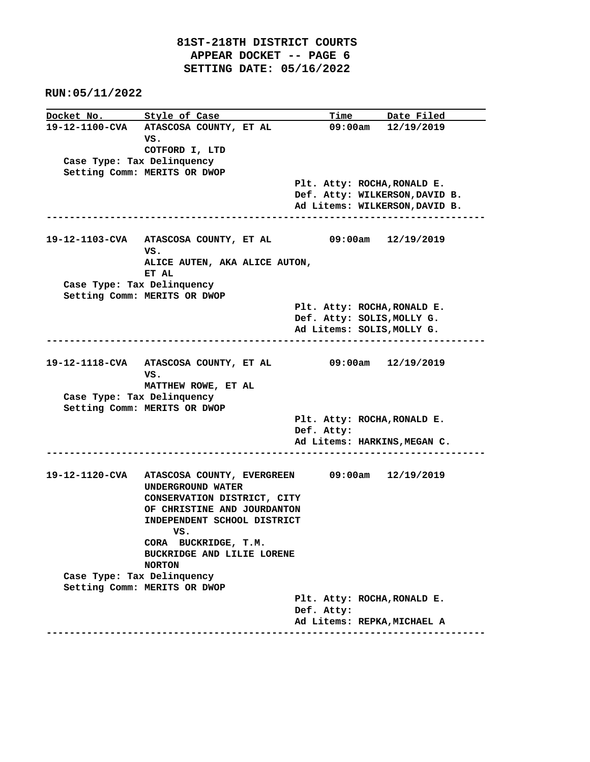|                            | Docket No. Style of Case                                                          |            | <u>Time Date Filed</u>                |  |
|----------------------------|-----------------------------------------------------------------------------------|------------|---------------------------------------|--|
|                            | 19-12-1100-CVA ATASCOSA COUNTY, ET AL                                             |            | $09:00am$ $12/19/2019$                |  |
|                            | VS.                                                                               |            |                                       |  |
|                            | COTFORD I, LTD                                                                    |            |                                       |  |
| Case Type: Tax Delinquency |                                                                                   |            |                                       |  |
|                            | Setting Comm: MERITS OR DWOP                                                      |            |                                       |  |
|                            |                                                                                   |            | Plt. Atty: ROCHA, RONALD E.           |  |
|                            |                                                                                   |            | Def. Atty: WILKERSON, DAVID B.        |  |
|                            |                                                                                   |            | Ad Litems: WILKERSON, DAVID B.        |  |
|                            |                                                                                   |            |                                       |  |
|                            | 19-12-1103-CVA ATASCOSA COUNTY, ET AL 09:00am 12/19/2019<br>VS.                   |            |                                       |  |
|                            | ALICE AUTEN, AKA ALICE AUTON,                                                     |            |                                       |  |
|                            | ET AL                                                                             |            |                                       |  |
| Case Type: Tax Delinquency |                                                                                   |            |                                       |  |
|                            | Setting Comm: MERITS OR DWOP                                                      |            |                                       |  |
|                            |                                                                                   |            | Plt. Atty: ROCHA, RONALD E.           |  |
|                            |                                                                                   |            | Def. Atty: SOLIS, MOLLY G.            |  |
|                            |                                                                                   |            | Ad Litems: SOLIS, MOLLY G.            |  |
|                            |                                                                                   |            |                                       |  |
|                            |                                                                                   |            |                                       |  |
|                            | 19-12-1118-CVA ATASCOSA COUNTY, ET AL                                             |            | $09:00$ am $12/19/2019$               |  |
|                            | vs.                                                                               |            |                                       |  |
| Case Type: Tax Delinquency | MATTHEW ROWE, ET AL                                                               |            |                                       |  |
|                            | Setting Comm: MERITS OR DWOP                                                      |            |                                       |  |
|                            |                                                                                   |            | Plt. Atty: ROCHA, RONALD E.           |  |
|                            |                                                                                   | Def. Atty: |                                       |  |
|                            |                                                                                   |            | Ad Litems: HARKINS, MEGAN C.          |  |
|                            |                                                                                   |            | ------------------------------------- |  |
|                            |                                                                                   |            |                                       |  |
|                            | 19-12-1120-CVA ATASCOSA COUNTY, EVERGREEN 09:00am 12/19/2019<br>UNDERGROUND WATER |            |                                       |  |
|                            | CONSERVATION DISTRICT, CITY                                                       |            |                                       |  |
|                            | OF CHRISTINE AND JOURDANTON                                                       |            |                                       |  |
|                            | INDEPENDENT SCHOOL DISTRICT                                                       |            |                                       |  |
|                            | vs.                                                                               |            |                                       |  |
|                            | CORA BUCKRIDGE, T.M.                                                              |            |                                       |  |
|                            | BUCKRIDGE AND LILIE LORENE                                                        |            |                                       |  |
|                            | <b>NORTON</b>                                                                     |            |                                       |  |
| Case Type: Tax Delinquency |                                                                                   |            |                                       |  |
|                            | Setting Comm: MERITS OR DWOP                                                      |            |                                       |  |
|                            |                                                                                   |            | Plt. Atty: ROCHA, RONALD E.           |  |
|                            |                                                                                   | Def. Atty: |                                       |  |
|                            |                                                                                   |            | Ad Litems: REPKA, MICHAEL A           |  |
|                            |                                                                                   |            |                                       |  |